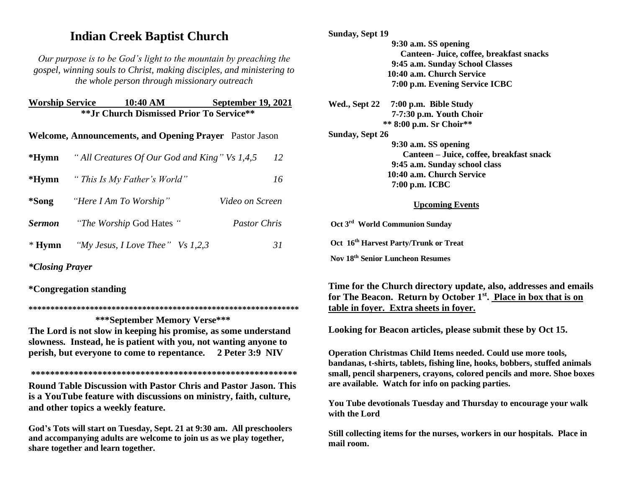# **Indian Creek Baptist Church**

*Our purpose is to be God's light to the mountain by preaching the gospel, winning souls to Christ, making disciples, and ministering to the whole person through missionary outreach*

| <b>Worship Service</b>                                  |  | 10:40 AM                                          |  | September 19, 2021 |           |
|---------------------------------------------------------|--|---------------------------------------------------|--|--------------------|-----------|
| ** Jr Church Dismissed Prior To Service**               |  |                                                   |  |                    |           |
| Welcome, Announcements, and Opening Prayer Pastor Jason |  |                                                   |  |                    |           |
| *Hymn                                                   |  | "All Creatures Of Our God and King" Vs 1,4,5"     |  |                    | <i>12</i> |
|                                                         |  | <b>*Hymn</b> " <i>This Is My Father's World</i> " |  |                    | 16        |

| *Song  | "Here I Am To Worship"             | Video on Screen     |
|--------|------------------------------------|---------------------|
| Sermon | "The Worship God Hates"            | <b>Pastor Chris</b> |
| * Hymn | "My Jesus, I Love Thee" $Vs$ 1,2,3 | 31                  |

### *\*Closing Prayer*

### **\*Congregation standing**

**\*\*\*\*\*\*\*\*\*\*\*\*\*\*\*\*\*\*\*\*\*\*\*\*\*\*\*\*\*\*\*\*\*\*\*\*\*\*\*\*\*\*\*\*\*\*\*\*\*\*\*\*\*\*\*\*\*\*\*\*\*\***

 **\*\*\*September Memory Verse\*\*\*** 

**The Lord is not slow in keeping his promise, as some understand slowness. Instead, he is patient with you, not wanting anyone to perish, but everyone to come to repentance. 2 Peter 3:9 NIV** 

**\*\*\*\*\*\*\*\*\*\*\*\*\*\*\*\*\*\*\*\*\*\*\*\*\*\*\*\*\*\*\*\*\*\*\*\*\*\*\*\*\*\*\*\*\*\*\*\*\*\*\*\*\*\*\*\*** 

**Round Table Discussion with Pastor Chris and Pastor Jason. This is a YouTube feature with discussions on ministry, faith, culture, and other topics a weekly feature.**

**God's Tots will start on Tuesday, Sept. 21 at 9:30 am. All preschoolers and accompanying adults are welcome to join us as we play together, share together and learn together.**

| <b>Sunday, Sept 19</b> |                                          |
|------------------------|------------------------------------------|
|                        | 9:30 a.m. SS opening                     |
|                        | Canteen- Juice, coffee, breakfast snacks |
|                        | 9:45 a.m. Sunday School Classes          |
|                        | 10:40 a.m. Church Service                |
|                        | 7:00 p.m. Evening Service ICBC           |
|                        | Wed., Sept 22 7:00 p.m. Bible Study      |
|                        | 7-7:30 p.m. Youth Choir                  |
|                        | ** 8:00 p.m. Sr Choir**                  |
| <b>Sunday, Sept 26</b> |                                          |
|                        | 9:30 a.m. SS opening                     |
|                        | Canteen – Juice, coffee, breakfast snack |
|                        | 9:45 a.m. Sunday school class            |
|                        | 10:40 a.m. Church Service                |
|                        | 7:00 p.m. ICBC                           |
|                        | <b>Upcoming Events</b>                   |

**Oct 3rd World Communion Sunday**

**Oct 16th Harvest Party/Trunk or Treat**

**Nov 18th Senior Luncheon Resumes**

**Time for the Church directory update, also, addresses and emails for The Beacon. Return by October 1st . Place in box that is on table in foyer. Extra sheets in foyer.**

**Looking for Beacon articles, please submit these by Oct 15.**

**Operation Christmas Child Items needed. Could use more tools, bandanas, t-shirts, tablets, fishing line, hooks, bobbers, stuffed animals small, pencil sharpeners, crayons, colored pencils and more. Shoe boxes are available. Watch for info on packing parties.**

**You Tube devotionals Tuesday and Thursday to encourage your walk with the Lord**

**Still collecting items for the nurses, workers in our hospitals. Place in mail room.**